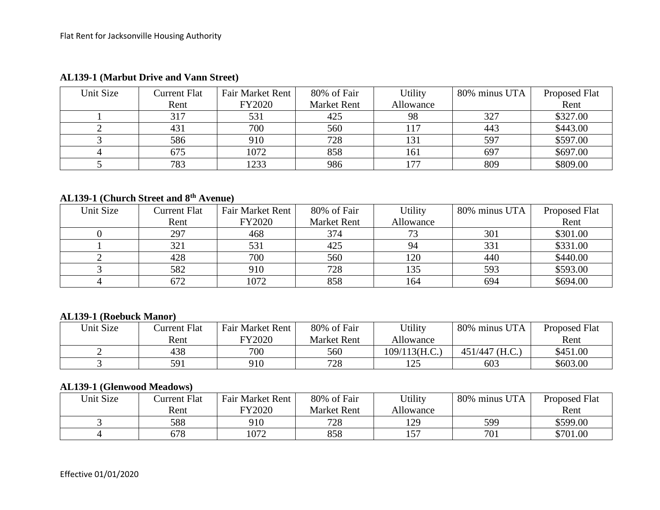| Unit Size | Current Flat | Fair Market Rent | 80% of Fair        | Utility   | 80% minus UTA | Proposed Flat |
|-----------|--------------|------------------|--------------------|-----------|---------------|---------------|
|           | Rent         | <b>FY2020</b>    | <b>Market Rent</b> | Allowance |               | Rent          |
|           | 317          | 531              | 425                | 98        | 327           | \$327.00      |
|           | 431          | 700              | 560                |           | 443           | \$443.00      |
|           | 586          | 910              | 728                | 131       | 597           | \$597.00      |
|           | 675          | 1072             | 858                | 161       | 697           | \$697.00      |
|           | 783          | 1233             | 986                | 177       | 809           | \$809.00      |

## **AL139-1 (Marbut Drive and Vann Street)**

## **AL139-1 (Church Street and 8th Avenue)**

| Unit Size | Current Flat | Fair Market Rent | 80% of Fair        | Utility   | 80% minus UTA | Proposed Flat |
|-----------|--------------|------------------|--------------------|-----------|---------------|---------------|
|           | Rent         | FY2020           | <b>Market Rent</b> | Allowance |               | Rent          |
|           | 297          | 468              | 374                | 72        | 301           | \$301.00      |
|           | 321          | 531              | 425                | 94        | 331           | \$331.00      |
|           | 428          | 700              | 560                | 120       | 440           | \$440.00      |
|           | 582          | 910              | 728                | 135       | 593           | \$593.00      |
|           | 672          | 1072             | 858                | 164       | 694           | \$694.00      |

## **AL139-1 (Roebuck Manor)**

| Unit Size | Current Flat | <b>Fair Market Rent</b> | 80% of Fair        | Utility          | 80% minus UTA  | <b>Proposed Flat</b> |
|-----------|--------------|-------------------------|--------------------|------------------|----------------|----------------------|
|           | Rent         | FY2020                  | <b>Market Rent</b> | Allowance        |                | Rent                 |
|           | 438          | 700                     | 560                | $109/113$ (H.C.) | 451/447 (H.C.) | \$451.00             |
|           | 591          | 910                     | 728                | 1つら              | 603            | \$603.00             |

## **AL139-1 (Glenwood Meadows)**

| Unit Size | Current Flat | <b>Fair Market Rent</b> | 80% of Fair        | Utility   | 80% minus UTA | Proposed Flat |
|-----------|--------------|-------------------------|--------------------|-----------|---------------|---------------|
|           | Rent         | FY2020                  | <b>Market Rent</b> | Allowance |               | Rent          |
|           | 588          | 910                     | 728                | 129       | 599           | \$599.00      |
|           | 678          | 1072                    | 858                | 157       | 701           | \$701.00      |